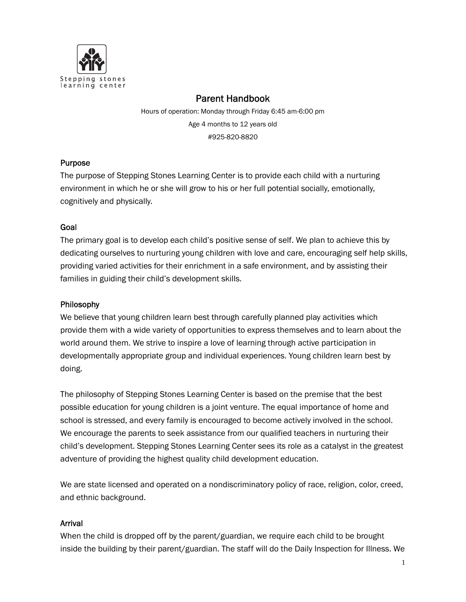

#### Parent Handbook

Hours of operation: Monday through Friday 6:45 am-6:00 pm Age 4 months to 12 years old #925-820-8820

### Purpose

The purpose of Stepping Stones Learning Center is to provide each child with a nurturing environment in which he or she will grow to his or her full potential socially, emotionally, cognitively and physically.

### Goal

The primary goal is to develop each child's positive sense of self. We plan to achieve this by dedicating ourselves to nurturing young children with love and care, encouraging self help skills, providing varied activities for their enrichment in a safe environment, and by assisting their families in guiding their child's development skills.

### Philosophy

We believe that young children learn best through carefully planned play activities which provide them with a wide variety of opportunities to express themselves and to learn about the world around them. We strive to inspire a love of learning through active participation in developmentally appropriate group and individual experiences. Young children learn best by doing.

The philosophy of Stepping Stones Learning Center is based on the premise that the best possible education for young children is a joint venture. The equal importance of home and school is stressed, and every family is encouraged to become actively involved in the school. We encourage the parents to seek assistance from our qualified teachers in nurturing their child's development. Stepping Stones Learning Center sees its role as a catalyst in the greatest adventure of providing the highest quality child development education.

We are state licensed and operated on a nondiscriminatory policy of race, religion, color, creed, and ethnic background.

### Arrival

When the child is dropped off by the parent/guardian, we require each child to be brought inside the building by their parent/guardian. The staff will do the Daily Inspection for Illness. We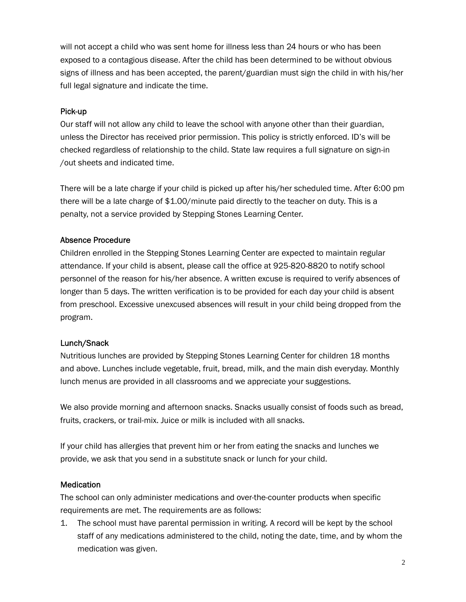will not accept a child who was sent home for illness less than 24 hours or who has been exposed to a contagious disease. After the child has been determined to be without obvious signs of illness and has been accepted, the parent/guardian must sign the child in with his/her full legal signature and indicate the time.

#### Pick-up

Our staff will not allow any child to leave the school with anyone other than their guardian, unless the Director has received prior permission. This policy is strictly enforced. ID's will be checked regardless of relationship to the child. State law requires a full signature on sign-in /out sheets and indicated time.

There will be a late charge if your child is picked up after his/her scheduled time. After 6:00 pm there will be a late charge of \$1.00/minute paid directly to the teacher on duty. This is a penalty, not a service provided by Stepping Stones Learning Center.

#### Absence Procedure

Children enrolled in the Stepping Stones Learning Center are expected to maintain regular attendance. If your child is absent, please call the office at 925-820-8820 to notify school personnel of the reason for his/her absence. A written excuse is required to verify absences of longer than 5 days. The written verification is to be provided for each day your child is absent from preschool. Excessive unexcused absences will result in your child being dropped from the program.

### Lunch/Snack

Nutritious lunches are provided by Stepping Stones Learning Center for children 18 months and above. Lunches include vegetable, fruit, bread, milk, and the main dish everyday. Monthly lunch menus are provided in all classrooms and we appreciate your suggestions.

We also provide morning and afternoon snacks. Snacks usually consist of foods such as bread, fruits, crackers, or trail-mix. Juice or milk is included with all snacks.

If your child has allergies that prevent him or her from eating the snacks and lunches we provide, we ask that you send in a substitute snack or lunch for your child.

#### **Medication**

The school can only administer medications and over-the-counter products when specific requirements are met. The requirements are as follows:

1. The school must have parental permission in writing. A record will be kept by the school staff of any medications administered to the child, noting the date, time, and by whom the medication was given.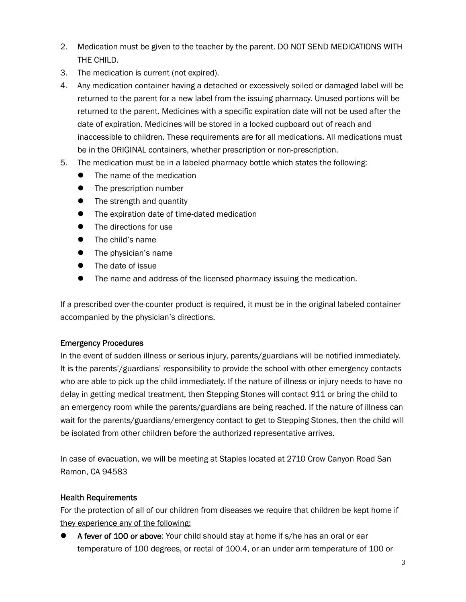- 2. Medication must be given to the teacher by the parent. DO NOT SEND MEDICATIONS WITH THE CHILD.
- 3. The medication is current (not expired).
- 4. Any medication container having a detached or excessively soiled or damaged label will be returned to the parent for a new label from the issuing pharmacy. Unused portions will be returned to the parent. Medicines with a specific expiration date will not be used after the date of expiration. Medicines will be stored in a locked cupboard out of reach and inaccessible to children. These requirements are for all medications. All medications must be in the ORIGINAL containers, whether prescription or non-prescription.
- 5. The medication must be in a labeled pharmacy bottle which states the following:
	- The name of the medication
	- The prescription number
	- The strength and quantity
	- The expiration date of time-dated medication
	- The directions for use
	- The child's name
	- The physician's name
	- The date of issue
	- The name and address of the licensed pharmacy issuing the medication.

If a prescribed over-the-counter product is required, it must be in the original labeled container accompanied by the physician's directions.

# Emergency Procedures

In the event of sudden illness or serious injury, parents/guardians will be notified immediately. It is the parents'/guardians' responsibility to provide the school with other emergency contacts who are able to pick up the child immediately. If the nature of illness or injury needs to have no delay in getting medical treatment, then Stepping Stones will contact 911 or bring the child to an emergency room while the parents/guardians are being reached. If the nature of illness can wait for the parents/guardians/emergency contact to get to Stepping Stones, then the child will be isolated from other children before the authorized representative arrives.

In case of evacuation, we will be meeting at Staples located at 2710 Crow Canyon Road San Ramon, CA 94583

# Health Requirements

For the protection of all of our children from diseases we require that children be kept home if they experience any of the following:

 A fever of 100 or above: Your child should stay at home if s/he has an oral or ear temperature of 100 degrees, or rectal of 100.4, or an under arm temperature of 100 or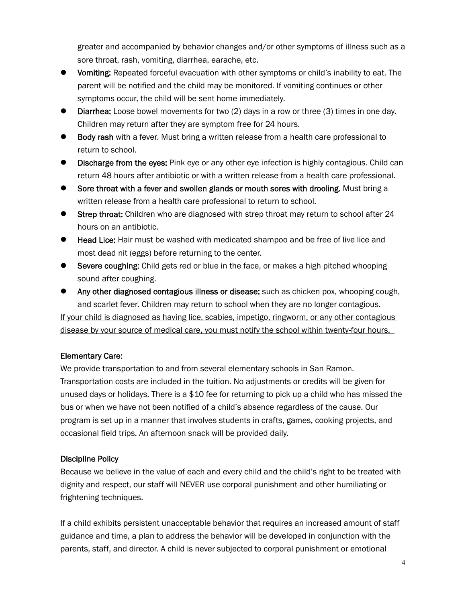greater and accompanied by behavior changes and/or other symptoms of illness such as a sore throat, rash, vomiting, diarrhea, earache, etc.

- Vomiting: Repeated forceful evacuation with other symptoms or child's inability to eat. The parent will be notified and the child may be monitored. If vomiting continues or other symptoms occur, the child will be sent home immediately.
- Diarrhea: Loose bowel movements for two (2) days in a row or three (3) times in one day. Children may return after they are symptom free for 24 hours.
- Body rash with a fever. Must bring a written release from a health care professional to return to school.
- Discharge from the eyes: Pink eye or any other eye infection is highly contagious. Child can return 48 hours after antibiotic or with a written release from a health care professional.
- Sore throat with a fever and swollen glands or mouth sores with drooling. Must bring a written release from a health care professional to return to school.
- Strep throat: Children who are diagnosed with strep throat may return to school after 24 hours on an antibiotic.
- Head Lice: Hair must be washed with medicated shampoo and be free of live lice and most dead nit (eggs) before returning to the center.
- Severe coughing: Child gets red or blue in the face, or makes a high pitched whooping sound after coughing.
- Any other diagnosed contagious illness or disease: such as chicken pox, whooping cough, and scarlet fever. Children may return to school when they are no longer contagious.

If your child is diagnosed as having lice, scabies, impetigo, ringworm, or any other contagious disease by your source of medical care, you must notify the school within twenty-four hours.

# Elementary Care:

We provide transportation to and from several elementary schools in San Ramon. Transportation costs are included in the tuition. No adjustments or credits will be given for unused days or holidays. There is a \$10 fee for returning to pick up a child who has missed the bus or when we have not been notified of a child's absence regardless of the cause. Our program is set up in a manner that involves students in crafts, games, cooking projects, and occasional field trips. An afternoon snack will be provided daily.

# Discipline Policy

Because we believe in the value of each and every child and the child's right to be treated with dignity and respect, our staff will NEVER use corporal punishment and other humiliating or frightening techniques.

If a child exhibits persistent unacceptable behavior that requires an increased amount of staff guidance and time, a plan to address the behavior will be developed in conjunction with the parents, staff, and director. A child is never subjected to corporal punishment or emotional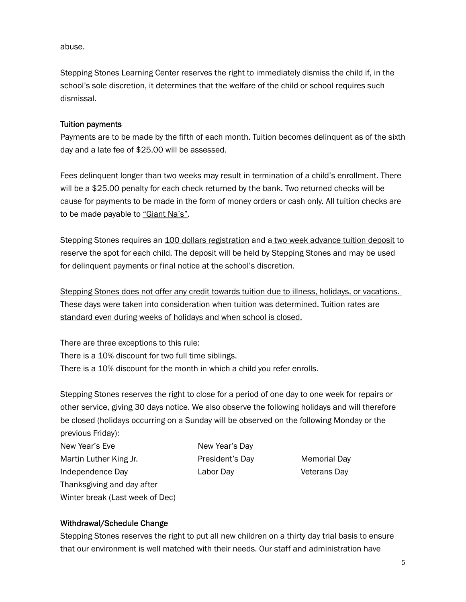abuse.

Stepping Stones Learning Center reserves the right to immediately dismiss the child if, in the school's sole discretion, it determines that the welfare of the child or school requires such dismissal.

#### Tuition payments

Payments are to be made by the fifth of each month. Tuition becomes delinquent as of the sixth day and a late fee of \$25.00 will be assessed.

Fees delinquent longer than two weeks may result in termination of a child's enrollment. There will be a \$25.00 penalty for each check returned by the bank. Two returned checks will be cause for payments to be made in the form of money orders or cash only. All tuition checks are to be made payable to "Giant Na's".

Stepping Stones requires an 100 dollars registration and a two week advance tuition deposit to reserve the spot for each child. The deposit will be held by Stepping Stones and may be used for delinquent payments or final notice at the school's discretion.

Stepping Stones does not offer any credit towards tuition due to illness, holidays, or vacations. These days were taken into consideration when tuition was determined. Tuition rates are standard even during weeks of holidays and when school is closed.

There are three exceptions to this rule: There is a 10% discount for two full time siblings. There is a 10% discount for the month in which a child you refer enrolls.

Stepping Stones reserves the right to close for a period of one day to one week for repairs or other service, giving 30 days notice. We also observe the following holidays and will therefore be closed (holidays occurring on a Sunday will be observed on the following Monday or the previous Friday):

New Year's Eve New Year's Day Martin Luther King Jr. President's Day Memorial Day Independence Day Labor Day Veterans Day Thanksgiving and day after Winter break (Last week of Dec)

### Withdrawal/Schedule Change

Stepping Stones reserves the right to put all new children on a thirty day trial basis to ensure that our environment is well matched with their needs. Our staff and administration have